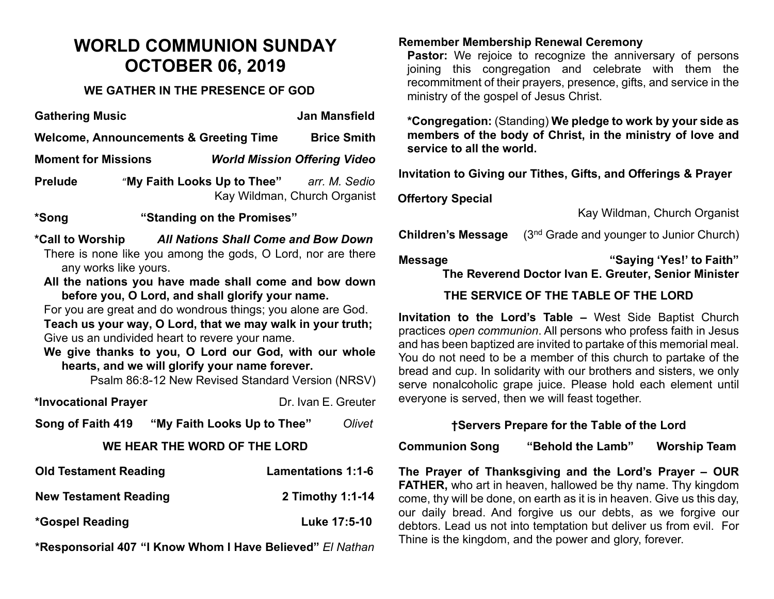# **WORLD COMMUNION SUNDAY OCTOBER 06, 2019**

#### **WE GATHER IN THE PRESENCE OF GOD**

| <b>Gathering Music</b>                            |                             | Jan Mansfield                                 |
|---------------------------------------------------|-----------------------------|-----------------------------------------------|
| <b>Welcome, Announcements &amp; Greeting Time</b> | <b>Brice Smith</b>          |                                               |
| <b>Moment for Missions</b>                        |                             | <b>World Mission Offering Video</b>           |
| <b>Prelude</b>                                    | "My Faith Looks Up to Thee" | arr. M. Sedio<br>Kay Wildman, Church Organist |
| *Song                                             | "Standing on the Promises"  |                                               |
|                                                   |                             |                                               |

**\*Call to Worship** *All Nations Shall Come and Bow Down* There is none like you among the gods, O Lord, nor are there any works like yours.

**All the nations you have made shall come and bow down before you, O Lord, and shall glorify your name.**

For you are great and do wondrous things; you alone are God. **Teach us your way, O Lord, that we may walk in your truth;** Give us an undivided heart to revere your name.

**We give thanks to you, O Lord our God, with our whole hearts, and we will glorify your name forever.**

Psalm 86:8-12 New Revised Standard Version (NRSV)

| *Invocational Prayer         |                             | Dr. Ivan E. Greuter |        |  |  |
|------------------------------|-----------------------------|---------------------|--------|--|--|
| Song of Faith 419            | "My Faith Looks Up to Thee" |                     | Olivet |  |  |
| WE HEAR THE WORD OF THE LORD |                             |                     |        |  |  |

| <b>Old Testament Reading</b> | <b>Lamentations 1:1-6</b> |
|------------------------------|---------------------------|
| <b>New Testament Reading</b> | 2 Timothy 1:1-14          |
| *Gospel Reading              | Luke 17:5-10              |

**\*Responsorial 407 "I Know Whom I Have Believed"** *El Nathan*

#### **Remember Membership Renewal Ceremony**

**Pastor:** We rejoice to recognize the anniversary of persons joining this congregation and celebrate with them the recommitment of their prayers, presence, gifts, and service in the ministry of the gospel of Jesus Christ.

**\*Congregation:** (Standing) **We pledge to work by your side as members of the body of Christ, in the ministry of love and service to all the world.**

**Invitation to Giving our Tithes, Gifts, and Offerings & Prayer**

**Offertory Special** 

Kay Wildman, Church Organist

**Children's Message** (3<sup>nd</sup> Grade and younger to Junior Church)

#### **Message "Saying 'Yes!' to Faith"**

**The Reverend Doctor Ivan E. Greuter, Senior Minister**

## **THE SERVICE OF THE TABLE OF THE LORD**

**Invitation to the Lord's Table –** West Side Baptist Church practices *open communion*. All persons who profess faith in Jesus and has been baptized are invited to partake of this memorial meal. You do not need to be a member of this church to partake of the bread and cup. In solidarity with our brothers and sisters, we only serve nonalcoholic grape juice. Please hold each element until everyone is served, then we will feast together.

## **†Servers Prepare for the Table of the Lord**

**Communion Song "Behold the Lamb" Worship Team**

**The Prayer of Thanksgiving and the Lord's Prayer – OUR FATHER,** who art in heaven, hallowed be thy name. Thy kingdom come, thy will be done, on earth as it is in heaven. Give us this day, our daily bread. And forgive us our debts, as we forgive our debtors. Lead us not into temptation but deliver us from evil. For Thine is the kingdom, and the power and glory, forever.